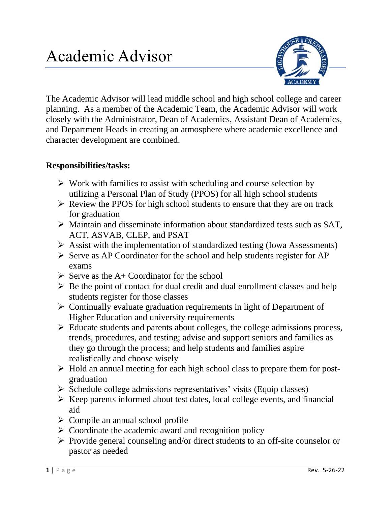## Academic Advisor



The Academic Advisor will lead middle school and high school college and career planning. As a member of the Academic Team, the Academic Advisor will work closely with the Administrator, Dean of Academics, Assistant Dean of Academics, and Department Heads in creating an atmosphere where academic excellence and character development are combined.

## **Responsibilities/tasks:**

- $\triangleright$  Work with families to assist with scheduling and course selection by utilizing a Personal Plan of Study (PPOS) for all high school students
- ➢ Review the PPOS for high school students to ensure that they are on track for graduation
- ➢ Maintain and disseminate information about standardized tests such as SAT, ACT, ASVAB, CLEP, and PSAT
- ➢ Assist with the implementation of standardized testing (Iowa Assessments)
- ➢ Serve as AP Coordinator for the school and help students register for AP exams
- $\triangleright$  Serve as the A+ Coordinator for the school
- $\triangleright$  Be the point of contact for dual credit and dual enrollment classes and help students register for those classes
- ➢ Continually evaluate graduation requirements in light of Department of Higher Education and university requirements
- ➢ Educate students and parents about colleges, the college admissions process, trends, procedures, and testing; advise and support seniors and families as they go through the process; and help students and families aspire realistically and choose wisely
- ➢ Hold an annual meeting for each high school class to prepare them for postgraduation
- ➢ Schedule college admissions representatives' visits (Equip classes)
- ➢ Keep parents informed about test dates, local college events, and financial aid
- $\triangleright$  Compile an annual school profile
- $\triangleright$  Coordinate the academic award and recognition policy
- ➢ Provide general counseling and/or direct students to an off-site counselor or pastor as needed